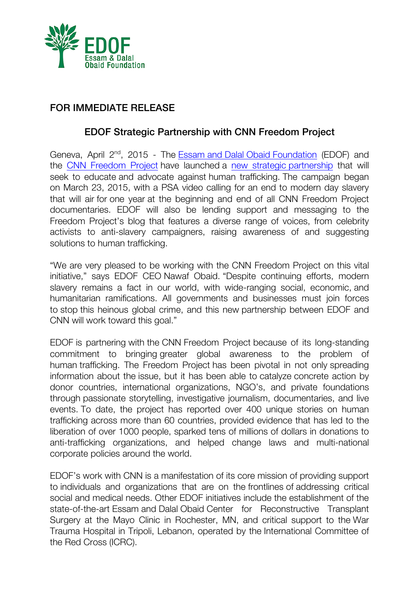

## FOR IMMEDIATE RELEASE

## EDOF Strategic Partnership with CNN Freedom Project

Geneva, April 2<sup>nd</sup>, 2015 - The Essam and Dalal Obaid Foundation (EDOF) and the CNN Freedom Project have launched a new strategic partnership that will seek to educate and advocate against human trafficking. The campaign began on March 23, 2015, with a PSA video calling for an end to modern day slavery that will air for one year at the beginning and end of all CNN Freedom Project documentaries. EDOF will also be lending support and messaging to the Freedom Project's blog that features a diverse range of voices, from celebrity activists to anti-slavery campaigners, raising awareness of and suggesting solutions to human trafficking.

"We are very pleased to be working with the CNN Freedom Project on this vital initiative," says EDOF CEO Nawaf Obaid. "Despite continuing efforts, modern slavery remains a fact in our world, with wide-ranging social, economic, and humanitarian ramifications. All governments and businesses must join forces to stop this heinous global crime, and this new partnership between EDOF and CNN will work toward this goal."

EDOF is partnering with the CNN Freedom Project because of its long-standing commitment to bringing greater global awareness to the problem of human trafficking. The Freedom Project has been pivotal in not only spreading information about the issue, but it has been able to catalyze concrete action by donor countries, international organizations, NGO's, and private foundations through passionate storytelling, investigative journalism, documentaries, and live events. To date, the project has reported over 400 unique stories on human trafficking across more than 60 countries, provided evidence that has led to the liberation of over 1000 people, sparked tens of millions of dollars in donations to anti-trafficking organizations, and helped change laws and multi-national corporate policies around the world.

EDOF's work with CNN is a manifestation of its core mission of providing support to individuals and organizations that are on the frontlines of addressing critical social and medical needs. Other EDOF initiatives include the establishment of the state-of-the-art Essam and Dalal Obaid Center for Reconstructive Transplant Surgery at the Mayo Clinic in Rochester, MN, and critical support to the War Trauma Hospital in Tripoli, Lebanon, operated by the International Committee of the Red Cross (ICRC).